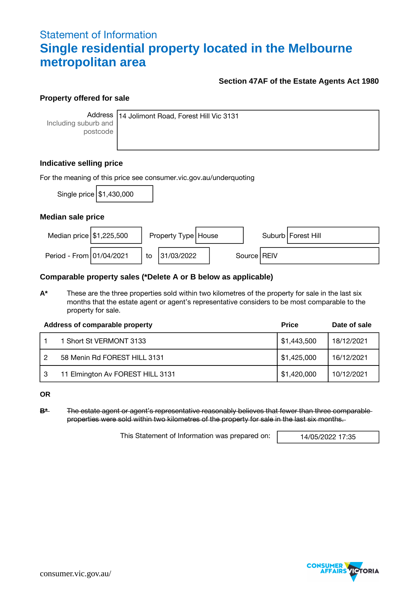### Statement of Information **Single residential property located in the Melbourne metropolitan area**

#### **Section 47AF of the Estate Agents Act 1980**

#### **Property offered for sale**

Including suburb and postcode

Address 14 Jolimont Road, Forest Hill Vic 3131

#### **Indicative selling price**

| For the meaning of this price see consumer vic gov au/underquoting |                            |    |                       |               |  |                      |  |  |  |
|--------------------------------------------------------------------|----------------------------|----|-----------------------|---------------|--|----------------------|--|--|--|
|                                                                    | Single price   \$1,430,000 |    |                       |               |  |                      |  |  |  |
| Median sale price                                                  |                            |    |                       |               |  |                      |  |  |  |
| Median price \$1,225,500                                           |                            |    | Property Type   House |               |  | Suburb   Forest Hill |  |  |  |
| Period - From 01/04/2021                                           |                            | to | 31/03/2022            | Source   REIV |  |                      |  |  |  |

#### **Comparable property sales (\*Delete A or B below as applicable)**

**A\*** These are the three properties sold within two kilometres of the property for sale in the last six months that the estate agent or agent's representative considers to be most comparable to the property for sale.

|   | Address of comparable property   | <b>Price</b>              | Date of sale |
|---|----------------------------------|---------------------------|--------------|
|   | 1 Short St VERMONT 3133          | $\frac{1}{2}$ \$1,443,500 | 18/12/2021   |
|   | 58 Menin Rd FOREST HILL 3131     | \$1,425,000               | 16/12/2021   |
| 3 | 11 Elmington Av FOREST HILL 3131 | \$1,420,000               | 10/12/2021   |

**OR**

**B\*** The estate agent or agent's representative reasonably believes that fewer than three comparable properties were sold within two kilometres of the property for sale in the last six months.

This Statement of Information was prepared on: 14/05/2022 17:35